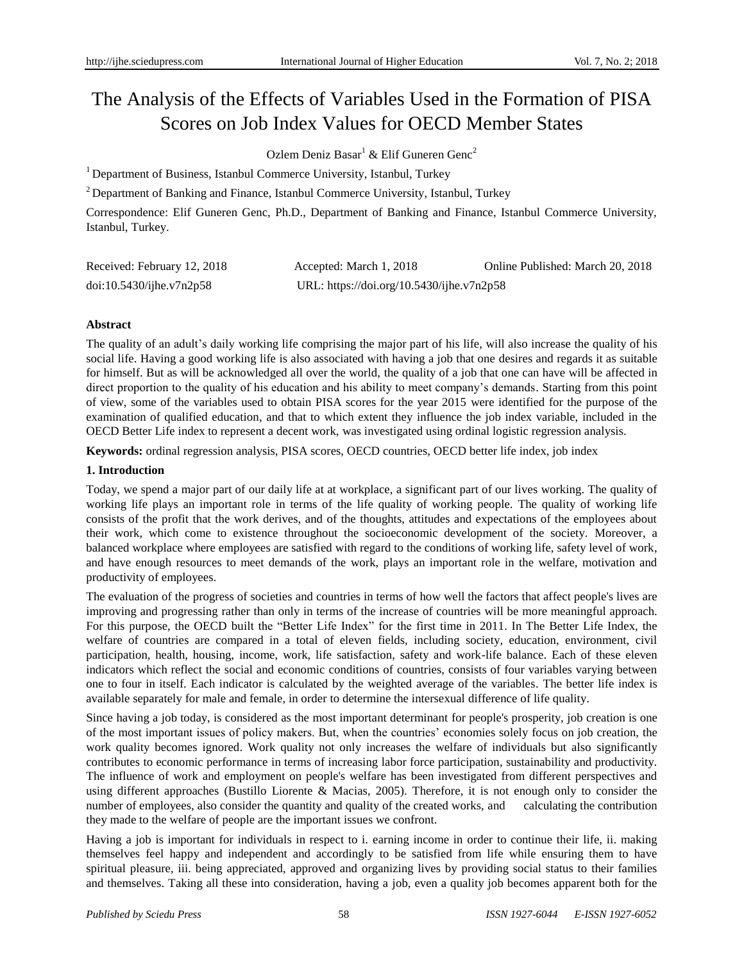# The Analysis of the Effects of Variables Used in the Formation of PISA Scores on Job Index Values for OECD Member States

Ozlem Deniz Basar<sup>1</sup> & Elif Guneren Genc<sup>2</sup>

<sup>1</sup> Department of Business, Istanbul Commerce University, Istanbul, Turkey

<sup>2</sup> Department of Banking and Finance, Istanbul Commerce University, Istanbul, Turkey

Correspondence: Elif Guneren Genc, Ph.D., Department of Banking and Finance, Istanbul Commerce University, Istanbul, Turkey.

| Received: February 12, 2018 | Accepted: March 1, 2018                   | Online Published: March 20, 2018 |
|-----------------------------|-------------------------------------------|----------------------------------|
| doi:10.5430/jhe.v7n2p58     | URL: https://doi.org/10.5430/ijhe.v7n2p58 |                                  |

# **Abstract**

The quality of an adult's daily working life comprising the major part of his life, will also increase the quality of his social life. Having a good working life is also associated with having a job that one desires and regards it as suitable for himself. But as will be acknowledged all over the world, the quality of a job that one can have will be affected in direct proportion to the quality of his education and his ability to meet company's demands. Starting from this point of view, some of the variables used to obtain PISA scores for the year 2015 were identified for the purpose of the examination of qualified education, and that to which extent they influence the job index variable, included in the OECD Better Life index to represent a decent work, was investigated using ordinal logistic regression analysis.

**Keywords:** ordinal regression analysis, PISA scores, OECD countries, OECD better life index, job index

# **1. Introduction**

Today, we spend a major part of our daily life at at workplace, a significant part of our lives working. The quality of working life plays an important role in terms of the life quality of working people. The quality of working life consists of the profit that the work derives, and of the thoughts, attitudes and expectations of the employees about their work, which come to existence throughout the socioeconomic development of the society. Moreover, a balanced workplace where employees are satisfied with regard to the conditions of working life, safety level of work, and have enough resources to meet demands of the work, plays an important role in the welfare, motivation and productivity of employees.

The evaluation of the progress of societies and countries in terms of how well the factors that affect people's lives are improving and progressing rather than only in terms of the increase of countries will be more meaningful approach. For this purpose, the OECD built the "Better Life Index" for the first time in 2011. In The Better Life Index, the welfare of countries are compared in a total of eleven fields, including society, education, environment, civil participation, health, housing, income, work, life satisfaction, safety and work-life balance. Each of these eleven indicators which reflect the social and economic conditions of countries, consists of four variables varying between one to four in itself. Each indicator is calculated by the weighted average of the variables. The better life index is available separately for male and female, in order to determine the intersexual difference of life quality.

Since having a job today, is considered as the most important determinant for people's prosperity, job creation is one of the most important issues of policy makers. But, when the countries' economies solely focus on job creation, the work quality becomes ignored. Work quality not only increases the welfare of individuals but also significantly contributes to economic performance in terms of increasing labor force participation, sustainability and productivity. The influence of work and employment on people's welfare has been investigated from different perspectives and using different approaches (Bustillo Liorente & Macias, 2005). Therefore, it is not enough only to consider the number of employees, also consider the quantity and quality of the created works, and calculating the contribution they made to the welfare of people are the important issues we confront.

Having a job is important for individuals in respect to i. earning income in order to continue their life, ii. making themselves feel happy and independent and accordingly to be satisfied from life while ensuring them to have spiritual pleasure, iii. being appreciated, approved and organizing lives by providing social status to their families and themselves. Taking all these into consideration, having a job, even a quality job becomes apparent both for the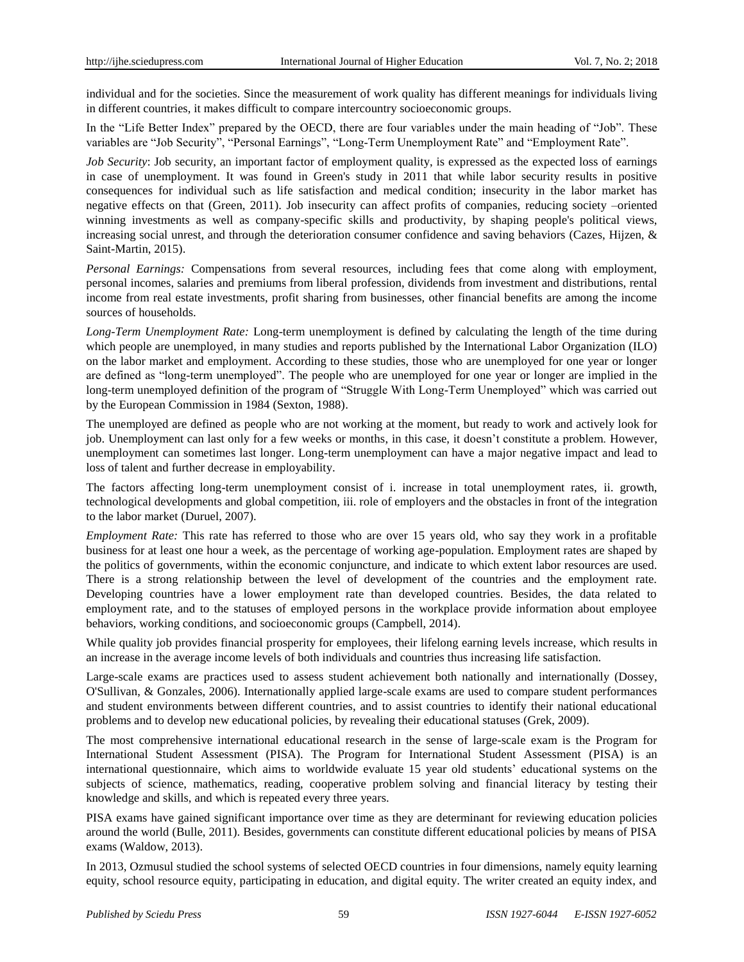individual and for the societies. Since the measurement of work quality has different meanings for individuals living in different countries, it makes difficult to compare intercountry socioeconomic groups.

In the "Life Better Index" prepared by the OECD, there are four variables under the main heading of "Job". These variables are "Job Security", "Personal Earnings", "Long-Term Unemployment Rate" and "Employment Rate".

*Job Security*: Job security, an important factor of employment quality, is expressed as the expected loss of earnings in case of unemployment. It was found in Green's study in 2011 that while labor security results in positive consequences for individual such as life satisfaction and medical condition; insecurity in the labor market has negative effects on that (Green, 2011). Job insecurity can affect profits of companies, reducing society –oriented winning investments as well as company-specific skills and productivity, by shaping people's political views, increasing social unrest, and through the deterioration consumer confidence and saving behaviors (Cazes, Hijzen, & Saint-Martin, 2015).

*Personal Earnings:* Compensations from several resources, including fees that come along with employment, personal incomes, salaries and premiums from liberal profession, dividends from investment and distributions, rental income from real estate investments, profit sharing from businesses, other financial benefits are among the income sources of households.

*Long-Term Unemployment Rate:* Long-term unemployment is defined by calculating the length of the time during which people are unemployed, in many studies and reports published by the International Labor Organization (ILO) on the labor market and employment. According to these studies, those who are unemployed for one year or longer are defined as "long-term unemployed". The people who are unemployed for one year or longer are implied in the long-term unemployed definition of the program of "Struggle With Long-Term Unemployed" which was carried out by the European Commission in 1984 (Sexton, 1988).

The unemployed are defined as people who are not working at the moment, but ready to work and actively look for job. Unemployment can last only for a few weeks or months, in this case, it doesn't constitute a problem. However, unemployment can sometimes last longer. Long-term unemployment can have a major negative impact and lead to loss of talent and further decrease in employability.

The factors affecting long-term unemployment consist of i. increase in total unemployment rates, ii. growth, technological developments and global competition, iii. role of employers and the obstacles in front of the integration to the labor market (Duruel, 2007).

*Employment Rate:* This rate has referred to those who are over 15 years old, who say they work in a profitable business for at least one hour a week, as the percentage of working age-population. Employment rates are shaped by the politics of governments, within the economic conjuncture, and indicate to which extent labor resources are used. There is a strong relationship between the level of development of the countries and the employment rate. Developing countries have a lower employment rate than developed countries. Besides, the data related to employment rate, and to the statuses of employed persons in the workplace provide information about employee behaviors, working conditions, and socioeconomic groups (Campbell, 2014).

While quality job provides financial prosperity for employees, their lifelong earning levels increase, which results in an increase in the average income levels of both individuals and countries thus increasing life satisfaction.

Large-scale exams are practices used to assess student achievement both nationally and internationally (Dossey, O'Sullivan, & Gonzales, 2006). Internationally applied large-scale exams are used to compare student performances and student environments between different countries, and to assist countries to identify their national educational problems and to develop new educational policies, by revealing their educational statuses (Grek, 2009).

The most comprehensive international educational research in the sense of large-scale exam is the Program for International Student Assessment (PISA). The Program for International Student Assessment (PISA) is an international questionnaire, which aims to worldwide evaluate 15 year old students' educational systems on the subjects of science, mathematics, reading, cooperative problem solving and financial literacy by testing their knowledge and skills, and which is repeated every three years.

PISA exams have gained significant importance over time as they are determinant for reviewing education policies around the world (Bulle, 2011). Besides, governments can constitute different educational policies by means of PISA exams (Waldow, 2013).

In 2013, Ozmusul studied the school systems of selected OECD countries in four dimensions, namely equity learning equity, school resource equity, participating in education, and digital equity. The writer created an equity index, and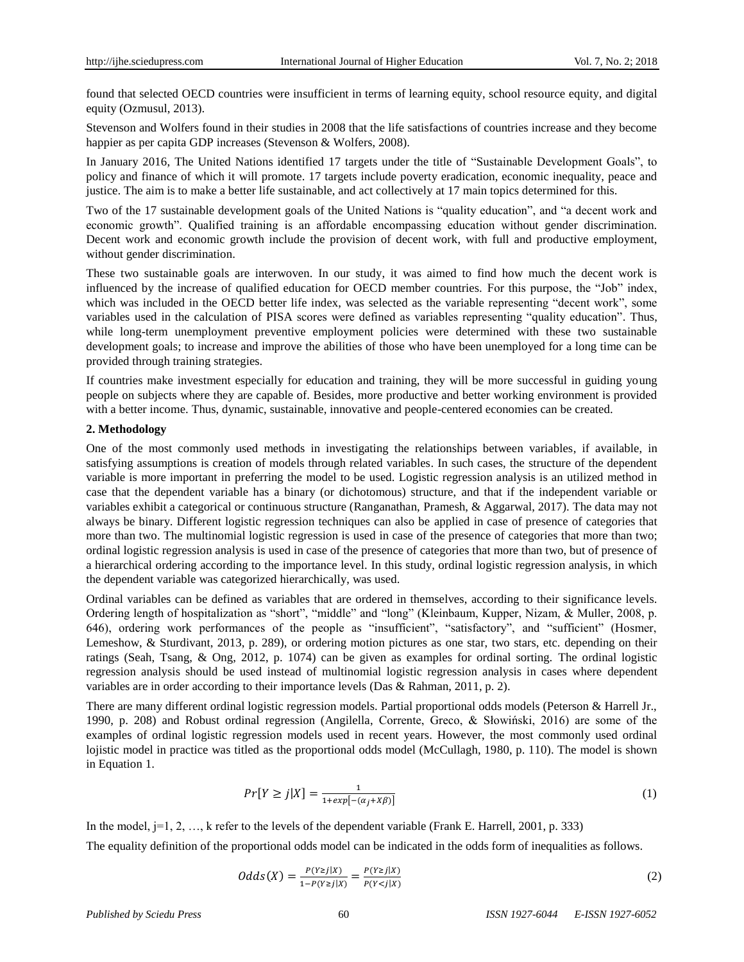found that selected OECD countries were insufficient in terms of learning equity, school resource equity, and digital equity (Ozmusul, 2013).

Stevenson and Wolfers found in their studies in 2008 that the life satisfactions of countries increase and they become happier as per capita GDP increases (Stevenson & Wolfers, 2008).

In January 2016, The United Nations identified 17 targets under the title of "Sustainable Development Goals", to policy and finance of which it will promote. 17 targets include poverty eradication, economic inequality, peace and justice. The aim is to make a better life sustainable, and act collectively at 17 main topics determined for this.

Two of the 17 sustainable development goals of the United Nations is "quality education", and "a decent work and economic growth". Qualified training is an affordable encompassing education without gender discrimination. Decent work and economic growth include the provision of decent work, with full and productive employment, without gender discrimination.

These two sustainable goals are interwoven. In our study, it was aimed to find how much the decent work is influenced by the increase of qualified education for OECD member countries. For this purpose, the "Job" index, which was included in the OECD better life index, was selected as the variable representing "decent work", some variables used in the calculation of PISA scores were defined as variables representing "quality education". Thus, while long-term unemployment preventive employment policies were determined with these two sustainable development goals; to increase and improve the abilities of those who have been unemployed for a long time can be provided through training strategies.

If countries make investment especially for education and training, they will be more successful in guiding young people on subjects where they are capable of. Besides, more productive and better working environment is provided with a better income. Thus, dynamic, sustainable, innovative and people-centered economies can be created.

#### **2. Methodology**

One of the most commonly used methods in investigating the relationships between variables, if available, in satisfying assumptions is creation of models through related variables. In such cases, the structure of the dependent variable is more important in preferring the model to be used. Logistic regression analysis is an utilized method in case that the dependent variable has a binary (or dichotomous) structure, and that if the independent variable or variables exhibit a categorical or continuous structure (Ranganathan, Pramesh, & Aggarwal, 2017). The data may not always be binary. Different logistic regression techniques can also be applied in case of presence of categories that more than two. The multinomial logistic regression is used in case of the presence of categories that more than two; ordinal logistic regression analysis is used in case of the presence of categories that more than two, but of presence of a hierarchical ordering according to the importance level. In this study, ordinal logistic regression analysis, in which the dependent variable was categorized hierarchically, was used.

Ordinal variables can be defined as variables that are ordered in themselves, according to their significance levels. Ordering length of hospitalization as "short", "middle" and "long" (Kleinbaum, Kupper, Nizam, & Muller, 2008, p. 646), ordering work performances of the people as "insufficient", "satisfactory", and "sufficient" (Hosmer, Lemeshow, & Sturdivant, 2013, p. 289), or ordering motion pictures as one star, two stars, etc. depending on their ratings (Seah, Tsang, & Ong, 2012, p. 1074) can be given as examples for ordinal sorting. The ordinal logistic regression analysis should be used instead of multinomial logistic regression analysis in cases where dependent variables are in order according to their importance levels (Das & Rahman, 2011, p. 2).

There are many different ordinal logistic regression models. Partial proportional odds models (Peterson & Harrell Jr., 1990, p. 208) and Robust ordinal regression (Angilella, Corrente, Greco, & Słowiński, 2016) are some of the examples of ordinal logistic regression models used in recent years. However, the most commonly used ordinal lojistic model in practice was titled as the proportional odds model (McCullagh, 1980, p. 110). The model is shown in Equation 1.

$$
Pr[Y \ge j | X] = \frac{1}{1 + exp[-(\alpha_j + X\beta)]}
$$
\n(1)

In the model,  $j=1, 2, ..., k$  refer to the levels of the dependent variable (Frank E. Harrell, 2001, p. 333) The equality definition of the proportional odds model can be indicated in the odds form of inequalities as follows.

$$
Odds(X) = \frac{P(Y \ge j | X)}{1 - P(Y \ge j | X)} = \frac{P(Y \ge j | X)}{P(Y < j | X)}\tag{2}
$$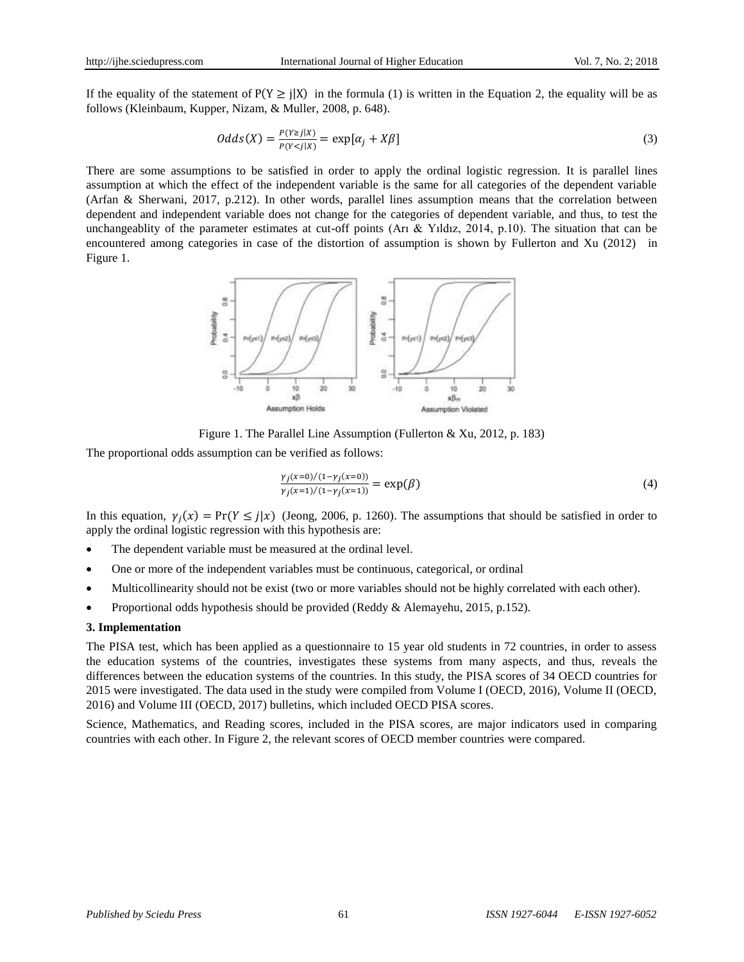If the equality of the statement of  $P(Y \geq i|X)$  in the formula (1) is written in the Equation 2, the equality will be as follows (Kleinbaum, Kupper, Nizam, & Muller, 2008, p. 648).

$$
Odds(X) = \frac{P(Y \ge j | X)}{P(Y < j | X)} = \exp[\alpha_j + X\beta] \tag{3}
$$

There are some assumptions to be satisfied in order to apply the ordinal logistic regression. It is parallel lines assumption at which the effect of the independent variable is the same for all categories of the dependent variable (Arfan & Sherwani, 2017, p.212). In other words, parallel lines assumption means that the correlation between dependent and independent variable does not change for the categories of dependent variable, and thus, to test the unchangeablity of the parameter estimates at cut-off points (Arı & Yıldız, 2014, p.10). The situation that can be encountered among categories in case of the distortion of assumption is shown by Fullerton and Xu (2012) in Figure 1.



Figure 1. The Parallel Line Assumption (Fullerton & Xu, 2012, p. 183)

The proportional odds assumption can be verified as follows:

$$
\frac{\gamma_j(x=0)/(1-\gamma_j(x=0))}{\gamma_j(x=1)/(1-\gamma_j(x=1))} = \exp(\beta)
$$
\n(4)

In this equation,  $\gamma_j(x) = \Pr(Y \le j|x)$  (Jeong, 2006, p. 1260). The assumptions that should be satisfied in order to apply the ordinal logistic regression with this hypothesis are:

- The dependent variable must be measured at the ordinal level.
- One or more of the independent variables must be continuous, categorical, or ordinal
- Multicollinearity should not be exist (two or more variables should not be highly correlated with each other).
- Proportional odds hypothesis should be provided (Reddy & Alemayehu, 2015, p.152).

## **3. Implementation**

The PISA test, which has been applied as a questionnaire to 15 year old students in 72 countries, in order to assess the education systems of the countries, investigates these systems from many aspects, and thus, reveals the differences between the education systems of the countries. In this study, the PISA scores of 34 OECD countries for 2015 were investigated. The data used in the study were compiled from Volume I (OECD, 2016), Volume II (OECD, 2016) and Volume III (OECD, 2017) bulletins, which included OECD PISA scores.

Science, Mathematics, and Reading scores, included in the PISA scores, are major indicators used in comparing countries with each other. In Figure 2, the relevant scores of OECD member countries were compared.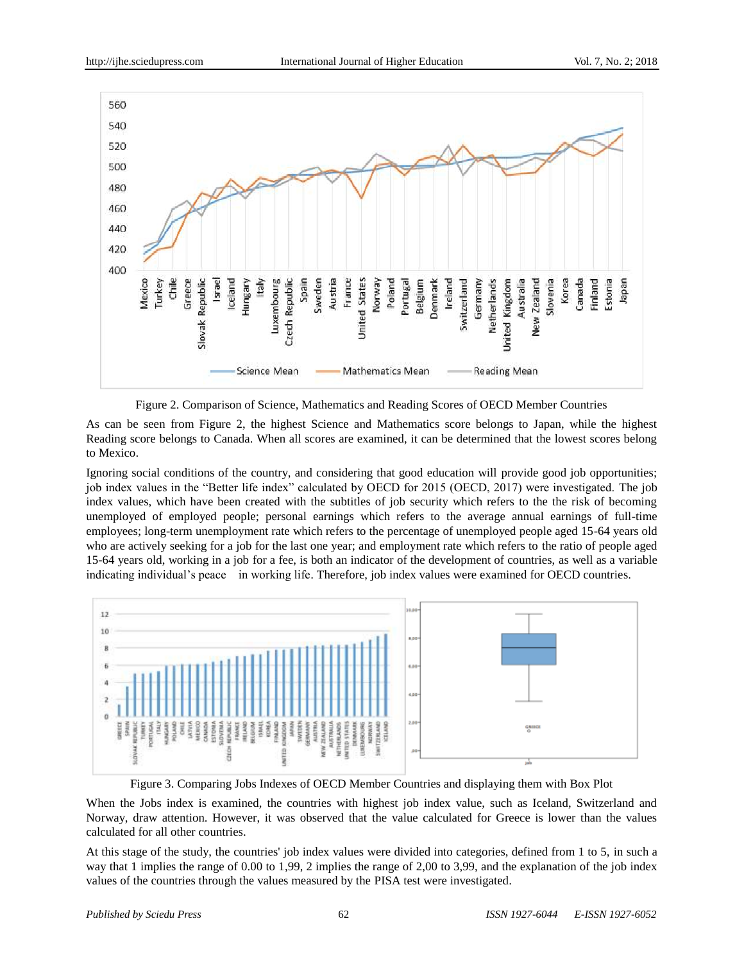

Figure 2. Comparison of Science, Mathematics and Reading Scores of OECD Member Countries

As can be seen from Figure 2, the highest Science and Mathematics score belongs to Japan, while the highest Reading score belongs to Canada. When all scores are examined, it can be determined that the lowest scores belong to Mexico.

Ignoring social conditions of the country, and considering that good education will provide good job opportunities; job index values in the "Better life index" calculated by OECD for 2015 (OECD, 2017) were investigated. The job index values, which have been created with the subtitles of job security which refers to the the risk of becoming unemployed of employed people; personal earnings which refers to the average annual earnings of full-time employees; long-term unemployment rate which refers to the percentage of unemployed people aged 15-64 years old who are actively seeking for a job for the last one year; and employment rate which refers to the ratio of people aged 15-64 years old, working in a job for a fee, is both an indicator of the development of countries, as well as a variable indicating individual's peace in working life. Therefore, job index values were examined for OECD countries.



Figure 3. Comparing Jobs Indexes of OECD Member Countries and displaying them with Box Plot

When the Jobs index is examined, the countries with highest job index value, such as Iceland, Switzerland and Norway, draw attention. However, it was observed that the value calculated for Greece is lower than the values calculated for all other countries.

At this stage of the study, the countries' job index values were divided into categories, defined from 1 to 5, in such a way that 1 implies the range of 0.00 to 1,99, 2 implies the range of 2,00 to 3,99, and the explanation of the job index values of the countries through the values measured by the PISA test were investigated.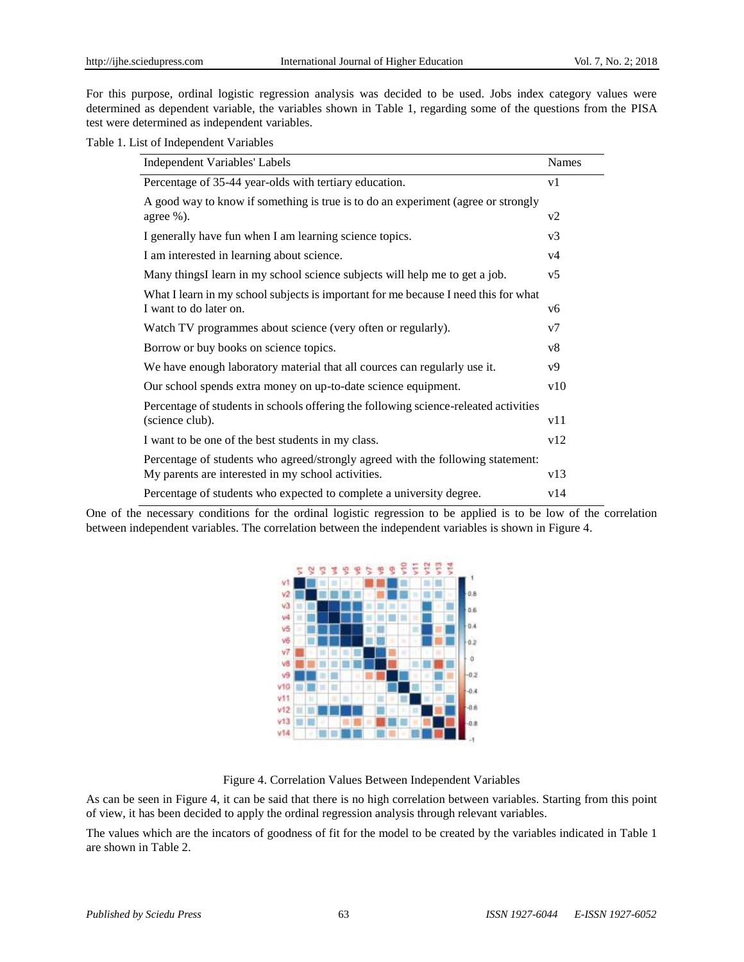For this purpose, ordinal logistic regression analysis was decided to be used. Jobs index category values were determined as dependent variable, the variables shown in Table 1, regarding some of the questions from the PISA test were determined as independent variables.

| Independent Variables' Labels                                                        | <b>Names</b>   |
|--------------------------------------------------------------------------------------|----------------|
| Percentage of 35-44 year-olds with tertiary education.                               | v1             |
| A good way to know if something is true is to do an experiment (agree or strongly    |                |
| agree $\%$ ).                                                                        | v2             |
| I generally have fun when I am learning science topics.                              | v <sub>3</sub> |
| I am interested in learning about science.                                           | v <sub>4</sub> |
| Many thingsI learn in my school science subjects will help me to get a job.          | v <sub>5</sub> |
| What I learn in my school subjects is important for me because I need this for what  |                |
| I want to do later on.                                                               | y6             |
| Watch TV programmes about science (very often or regularly).                         | v7             |
| Borrow or buy books on science topics.                                               | v8             |
| We have enough laboratory material that all cources can regularly use it.            | v9             |
| Our school spends extra money on up-to-date science equipment.                       | v10            |
| Percentage of students in schools offering the following science-releated activities |                |
| (science club).                                                                      | v11            |
| I want to be one of the best students in my class.                                   | v12            |
| Percentage of students who agreed/strongly agreed with the following statement:      |                |
| My parents are interested in my school activities.                                   | v13            |
| Percentage of students who expected to complete a university degree.                 | v14            |

One of the necessary conditions for the ordinal logistic regression to be applied is to be low of the correlation between independent variables. The correlation between the independent variables is shown in Figure 4.



Figure 4. Correlation Values Between Independent Variables

As can be seen in Figure 4, it can be said that there is no high correlation between variables. Starting from this point of view, it has been decided to apply the ordinal regression analysis through relevant variables.

The values which are the incators of goodness of fit for the model to be created by the variables indicated in Table 1 are shown in Table 2.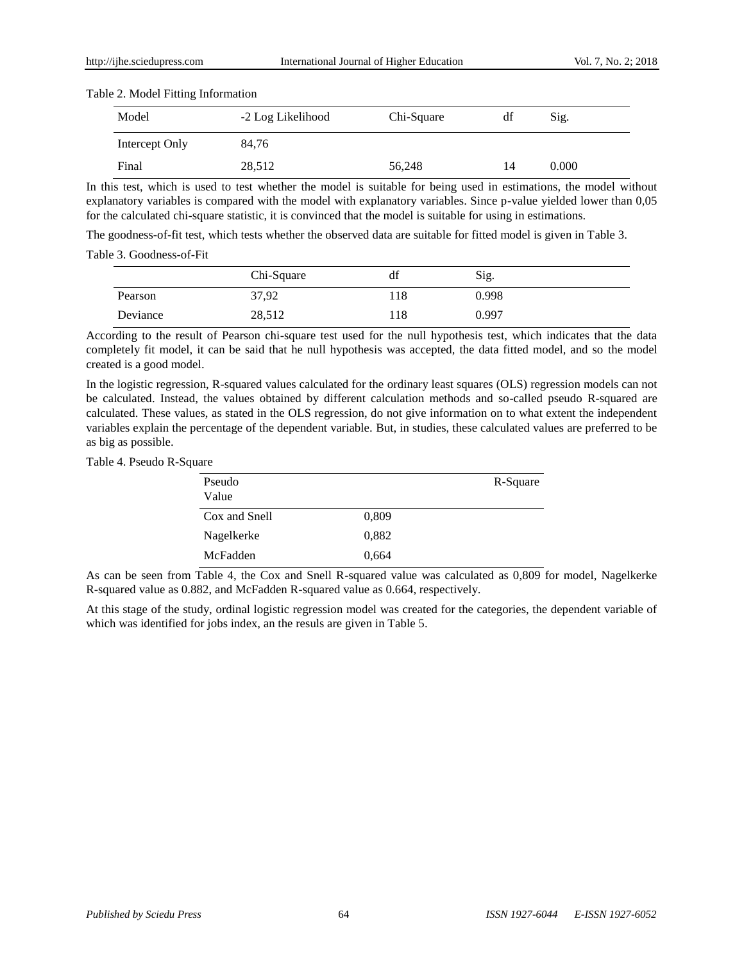### Table 2. Model Fitting Information

| $\tilde{\phantom{a}}$<br>Model | -2 Log Likelihood | Chi-Square | df | Sig.  |  |
|--------------------------------|-------------------|------------|----|-------|--|
| Intercept Only                 | 84,76             |            |    |       |  |
| Final                          | 28,512            | 56,248     | 14 | 0.000 |  |

In this test, which is used to test whether the model is suitable for being used in estimations, the model without explanatory variables is compared with the model with explanatory variables. Since p-value yielded lower than 0,05 for the calculated chi-square statistic, it is convinced that the model is suitable for using in estimations.

The goodness-of-fit test, which tests whether the observed data are suitable for fitted model is given in Table 3.

Table 3. Goodness-of-Fit

|          | Chi-Square | df   | Sig.  |
|----------|------------|------|-------|
| Pearson  | 37,92      | l 18 | 0.998 |
| Deviance | 28,512     | l 18 | 0.997 |

According to the result of Pearson chi-square test used for the null hypothesis test, which indicates that the data completely fit model, it can be said that he null hypothesis was accepted, the data fitted model, and so the model created is a good model.

In the logistic regression, R-squared values calculated for the ordinary least squares (OLS) regression models can not be calculated. Instead, the values obtained by different calculation methods and so-called pseudo R-squared are calculated. These values, as stated in the OLS regression, do not give information on to what extent the independent variables explain the percentage of the dependent variable. But, in studies, these calculated values are preferred to be as big as possible.

Table 4. Pseudo R-Square

| Pseudo<br>Value |       | R-Square |
|-----------------|-------|----------|
| Cox and Snell   | 0,809 |          |
| Nagelkerke      | 0,882 |          |
| McFadden        | 0.664 |          |

As can be seen from Table 4, the Cox and Snell R-squared value was calculated as 0,809 for model, Nagelkerke R-squared value as 0.882, and McFadden R-squared value as 0.664, respectively.

At this stage of the study, ordinal logistic regression model was created for the categories, the dependent variable of which was identified for jobs index, an the resuls are given in Table 5.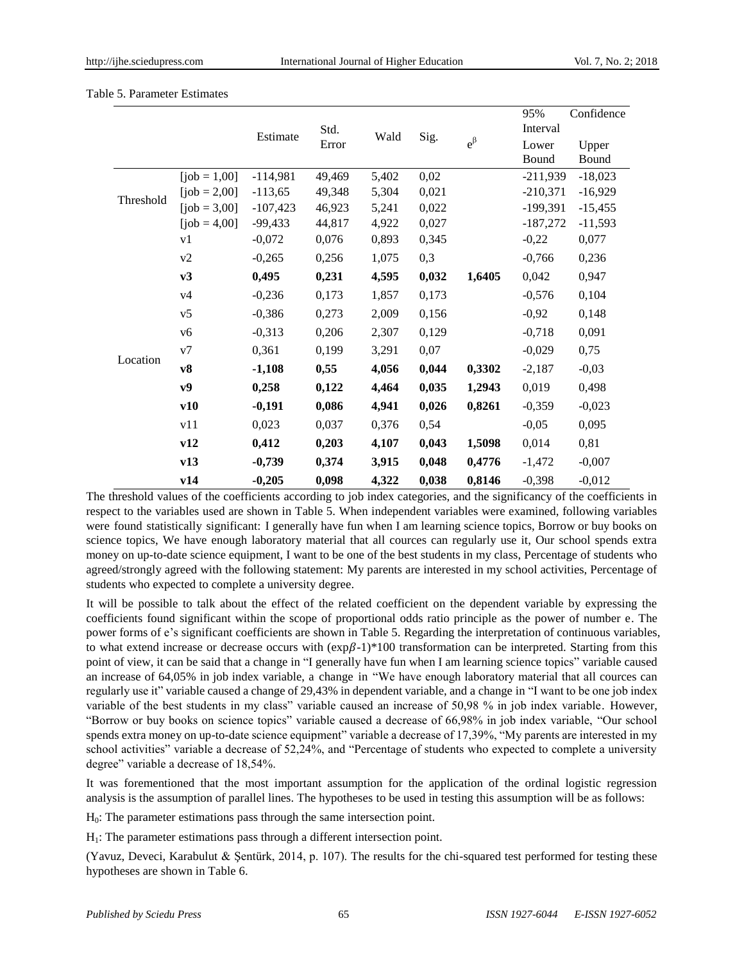|  | Table 5. Parameter Estimates |  |
|--|------------------------------|--|
|--|------------------------------|--|

|           |                  |            |        |       |       |             | 95%        | Confidence |
|-----------|------------------|------------|--------|-------|-------|-------------|------------|------------|
|           |                  | Estimate   | Std.   | Wald  |       |             | Interval   |            |
|           |                  |            | Error  |       | Sig.  | $e^{\beta}$ | Lower      | Upper      |
|           |                  |            |        |       |       |             | Bound      | Bound      |
|           | $[job = 1,00]$   | $-114,981$ | 49,469 | 5,402 | 0,02  |             | $-211,939$ | $-18,023$  |
| Threshold | $[job = 2,00]$   | $-113,65$  | 49,348 | 5,304 | 0,021 |             | $-210,371$ | $-16,929$  |
|           | $[job = 3,00]$   | $-107,423$ | 46,923 | 5,241 | 0,022 |             | $-199,391$ | $-15,455$  |
|           | $[job = 4,00]$   | $-99,433$  | 44,817 | 4,922 | 0,027 |             | $-187,272$ | $-11,593$  |
|           | v1               | $-0,072$   | 0,076  | 0,893 | 0,345 |             | $-0,22$    | 0,077      |
|           | v2               | $-0,265$   | 0,256  | 1,075 | 0,3   |             | $-0,766$   | 0,236      |
|           | v3               | 0,495      | 0,231  | 4,595 | 0,032 | 1,6405      | 0,042      | 0,947      |
|           | v4               | $-0,236$   | 0,173  | 1,857 | 0,173 |             | $-0,576$   | 0,104      |
|           | v5               | $-0,386$   | 0,273  | 2,009 | 0,156 |             | $-0,92$    | 0,148      |
|           | v6               | $-0,313$   | 0,206  | 2,307 | 0,129 |             | $-0,718$   | 0,091      |
| Location  | v7               | 0,361      | 0,199  | 3,291 | 0,07  |             | $-0,029$   | 0,75       |
|           | ${\bf v}{\bf 8}$ | $-1,108$   | 0,55   | 4,056 | 0,044 | 0,3302      | $-2,187$   | $-0,03$    |
|           | v9               | 0,258      | 0,122  | 4,464 | 0,035 | 1,2943      | 0,019      | 0,498      |
|           | v10              | $-0,191$   | 0,086  | 4,941 | 0,026 | 0,8261      | $-0,359$   | $-0,023$   |
|           | v11              | 0,023      | 0,037  | 0,376 | 0,54  |             | $-0,05$    | 0,095      |
|           | v12              | 0,412      | 0,203  | 4,107 | 0,043 | 1,5098      | 0,014      | 0,81       |
|           | v13              | $-0,739$   | 0,374  | 3,915 | 0,048 | 0,4776      | $-1,472$   | $-0,007$   |
|           | v14              | $-0,205$   | 0,098  | 4,322 | 0,038 | 0,8146      | $-0,398$   | $-0,012$   |

The threshold values of the coefficients according to job index categories, and the significancy of the coefficients in respect to the variables used are shown in Table 5. When independent variables were examined, following variables were found statistically significant: I generally have fun when I am learning science topics, Borrow or buy books on science topics, We have enough laboratory material that all cources can regularly use it, Our school spends extra money on up-to-date science equipment, I want to be one of the best students in my class, Percentage of students who agreed/strongly agreed with the following statement: My parents are interested in my school activities, Percentage of students who expected to complete a university degree.

It will be possible to talk about the effect of the related coefficient on the dependent variable by expressing the coefficients found significant within the scope of proportional odds ratio principle as the power of number e. The power forms of e's significant coefficients are shown in Table 5. Regarding the interpretation of continuous variables, to what extend increase or decrease occurs with  $(\exp \beta - 1)^*100$  transformation can be interpreted. Starting from this point of view, it can be said that a change in "I generally have fun when I am learning science topics" variable caused an increase of 64,05% in job index variable, a change in "We have enough laboratory material that all cources can regularly use it" variable caused a change of 29,43% in dependent variable, and a change in "I want to be one job index variable of the best students in my class" variable caused an increase of 50,98 % in job index variable. However, "Borrow or buy books on science topics" variable caused a decrease of 66,98% in job index variable, "Our school spends extra money on up-to-date science equipment" variable a decrease of 17,39%, "My parents are interested in my school activities" variable a decrease of 52,24%, and "Percentage of students who expected to complete a university degree" variable a decrease of 18,54%.

It was forementioned that the most important assumption for the application of the ordinal logistic regression analysis is the assumption of parallel lines. The hypotheses to be used in testing this assumption will be as follows:

 $H<sub>0</sub>$ : The parameter estimations pass through the same intersection point.

 $H<sub>1</sub>$ : The parameter estimations pass through a different intersection point.

(Yavuz, Deveci, Karabulut & Sentürk, 2014, p. 107). The results for the chi-squared test performed for testing these hypotheses are shown in Table 6.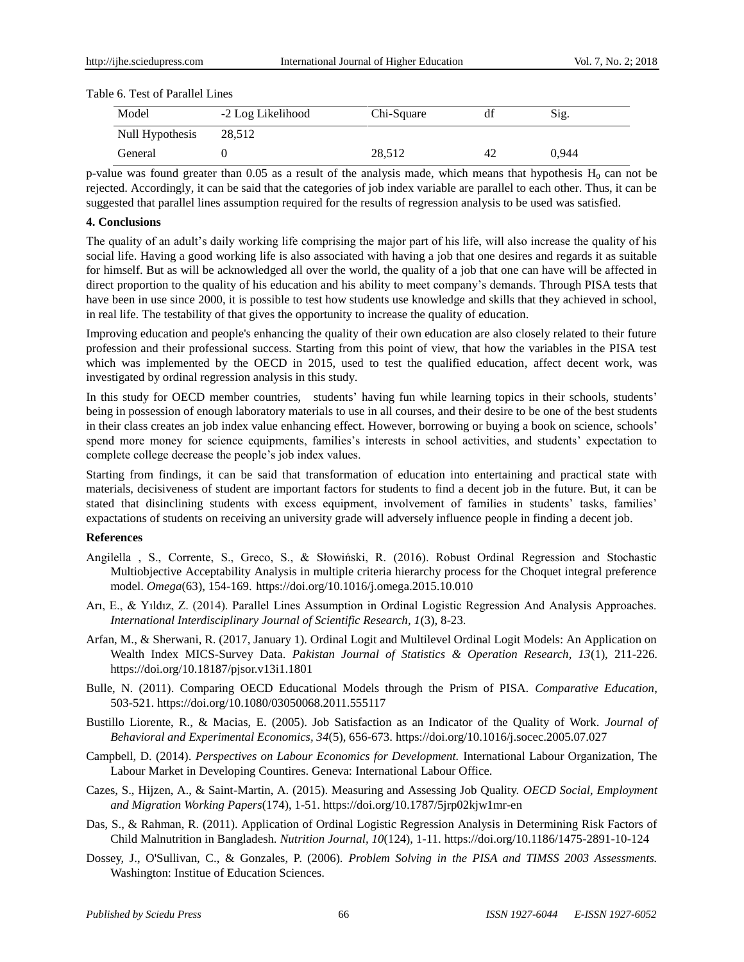| Table 6. Test of Parallel Lines |
|---------------------------------|
|                                 |

| Model           | -2 Log Likelihood | Chi-Square | df | Sig.  |  |
|-----------------|-------------------|------------|----|-------|--|
| Null Hypothesis | 28,512            |            |    |       |  |
| General         |                   | 28,512     | 42 | 0.944 |  |

p-value was found greater than 0.05 as a result of the analysis made, which means that hypothesis  $H_0$  can not be rejected. Accordingly, it can be said that the categories of job index variable are parallel to each other. Thus, it can be suggested that parallel lines assumption required for the results of regression analysis to be used was satisfied.

### **4. Conclusions**

The quality of an adult's daily working life comprising the major part of his life, will also increase the quality of his social life. Having a good working life is also associated with having a job that one desires and regards it as suitable for himself. But as will be acknowledged all over the world, the quality of a job that one can have will be affected in direct proportion to the quality of his education and his ability to meet company's demands. Through PISA tests that have been in use since 2000, it is possible to test how students use knowledge and skills that they achieved in school, in real life. The testability of that gives the opportunity to increase the quality of education.

Improving education and people's enhancing the quality of their own education are also closely related to their future profession and their professional success. Starting from this point of view, that how the variables in the PISA test which was implemented by the OECD in 2015, used to test the qualified education, affect decent work, was investigated by ordinal regression analysis in this study.

In this study for OECD member countries, students' having fun while learning topics in their schools, students' being in possession of enough laboratory materials to use in all courses, and their desire to be one of the best students in their class creates an job index value enhancing effect. However, borrowing or buying a book on science, schools' spend more money for science equipments, families's interests in school activities, and students' expectation to complete college decrease the people's job index values.

[Starting from](http://tureng.com/tr/turkce-ingilizce/starting%20from%20this%20(point%20of%20view)) findings, it can be said that transformation of education into entertaining and practical state with materials, decisiveness of student are important factors for students to find a decent job in the future. But, it can be stated that disinclining students with excess equipment, involvement of families in students' tasks, families' expactations of students on receiving an university grade will adversely influence people in finding a decent job.

#### **References**

- Angilella , S., Corrente, S., Greco, S., & Słowiński, R. (2016). Robust Ordinal Regression and Stochastic Multiobjective Acceptability Analysis in multiple criteria hierarchy process for the Choquet integral preference model. *Omega*(63), 154-169. https://doi.org/10.1016/j.omega.2015.10.010
- Arı, E., & Yıldız, Z. (2014). Parallel Lines Assumption in Ordinal Logistic Regression And Analysis Approaches. *International Interdisciplinary Journal of Scientific Research, 1*(3), 8-23.
- Arfan, M., & Sherwani, R. (2017, January 1). Ordinal Logit and Multilevel Ordinal Logit Models: An Application on Wealth Index MICS-Survey Data. *Pakistan Journal of Statistics & Operation Research, 13*(1), 211-226. https://doi.org/10.18187/pjsor.v13i1.1801
- Bulle, N. (2011). Comparing OECD Educational Models through the Prism of PISA. *Comparative Education*, 503-521. https://doi.org/10.1080/03050068.2011.555117
- Bustillo Liorente, R., & Macias, E. (2005). Job Satisfaction as an Indicator of the Quality of Work. *Journal of Behavioral and Experimental Economics, 34*(5), 656-673. https://doi.org/10.1016/j.socec.2005.07.027
- Campbell, D. (2014). *Perspectives on Labour Economics for Development.* International Labour Organization, The Labour Market in Developing Countires. Geneva: International Labour Office.
- Cazes, S., Hijzen, A., & Saint-Martin, A. (2015). Measuring and Assessing Job Quality. *OECD Social, Employment and Migration Working Papers*(174), 1-51. https://doi.org/10.1787/5jrp02kjw1mr-en
- Das, S., & Rahman, R. (2011). Application of Ordinal Logistic Regression Analysis in Determining Risk Factors of Child Malnutrition in Bangladesh. *Nutrition Journal, 10*(124), 1-11. https://doi.org/10.1186/1475-2891-10-124
- Dossey, J., O'Sullivan, C., & Gonzales, P. (2006). *Problem Solving in the PISA and TIMSS 2003 Assessments.* Washington: Institue of Education Sciences.